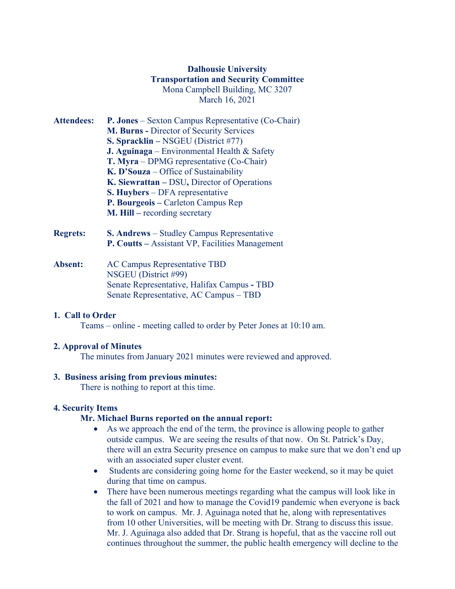# **Dalhousie University Transportation and Security Committee** Mona Campbell Building, MC 3207 March 16, 2021

- **Attendees: P. Jones** Sexton Campus Representative (Co-Chair) **M. Burns -** Director of Security Services **S. Spracklin –** NSGEU (District #77) **J. Aguinaga** – Environmental Health & Safety **T. Myra** – DPMG representative (Co-Chair) **K. D'Souza** – Office of Sustainability **K. Siewrattan –** DSU**,** Director of Operations **S. Huybers** – DFA representative **P. Bourgeois –** Carleton Campus Rep **M. Hill –** recording secretary
- **Regrets: S. Andrews** Studley Campus Representative **P. Coutts –** Assistant VP, Facilities Management
- **Absent:** AC Campus Representative TBD NSGEU (District #99) Senate Representative, Halifax Campus **-** TBD Senate Representative, AC Campus – TBD

### **1. Call to Order**

Teams – online - meeting called to order by Peter Jones at 10:10 am.

### **2. Approval of Minutes**

The minutes from January 2021 minutes were reviewed and approved.

### **3. Business arising from previous minutes:**

There is nothing to report at this time.

## **4. Security Items**

## **Mr. Michael Burns reported on the annual report:**

- As we approach the end of the term, the province is allowing people to gather outside campus. We are seeing the results of that now. On St. Patrick's Day, there will an extra Security presence on campus to make sure that we don't end up with an associated super cluster event.
- Students are considering going home for the Easter weekend, so it may be quiet during that time on campus.
- There have been numerous meetings regarding what the campus will look like in the fall of 2021 and how to manage the Covid19 pandemic when everyone is back to work on campus. Mr. J. Aguinaga noted that he, along with representatives from 10 other Universities, will be meeting with Dr. Strang to discuss this issue. Mr. J. Aguinaga also added that Dr. Strang is hopeful, that as the vaccine roll out continues throughout the summer, the public health emergency will decline to the